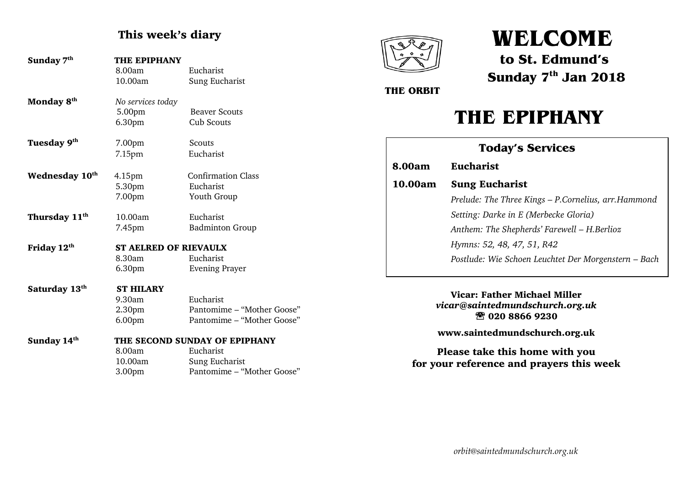# This week's diary

| Sunday 7 <sup>th</sup>    | THE EPIPHANY<br>8.00am<br>10.00am                            | Eucharist<br>Sung Eucharist                                           |
|---------------------------|--------------------------------------------------------------|-----------------------------------------------------------------------|
| Monday 8 <sup>th</sup>    | No services today<br>5.00pm<br>6.30pm                        | <b>Beaver Scouts</b><br><b>Cub Scouts</b>                             |
| Tuesday 9th               | 7.00pm<br>7.15pm                                             | Scouts<br>Eucharist                                                   |
| <b>Wednesday 10th</b>     | 4.15 <sub>pm</sub><br>5.30pm<br>7.00pm                       | <b>Confirmation Class</b><br>Eucharist<br>Youth Group                 |
| Thursday 11 <sup>th</sup> | 10.00am<br>7.45pm                                            | Eucharist<br><b>Badminton Group</b>                                   |
| Friday 12 <sup>th</sup>   | <b>ST AELRED OF RIEVAULX</b><br>8.30am<br>6.30 <sub>pm</sub> | Eucharist<br><b>Evening Prayer</b>                                    |
| Saturday 13 <sup>th</sup> | <b>ST HILARY</b><br>9.30am<br>2.30pm<br>6.00pm               | Eucharist<br>Pantomime - "Mother Goose"<br>Pantomime - "Mother Goose" |
| Sunday 14 <sup>th</sup>   | 8.00am<br>10.00am                                            | THE SECOND SUNDAY OF EPIPHANY<br>Eucharist<br>Sung Eucharist          |

3.00pm Pantomime – "Mother Goose"



# **WELCOME**

**to St. Edmund's Sunday 7 th Jan 2018**

 **THE ORBIT**

# **THE EPIPHANY**

| <b>Today's Services</b> |                                                      |  |  |
|-------------------------|------------------------------------------------------|--|--|
| 8.00am                  | <b>Eucharist</b>                                     |  |  |
| 10.00am                 | <b>Sung Eucharist</b>                                |  |  |
|                         | Prelude: The Three Kings - P.Cornelius, arr.Hammond  |  |  |
|                         | Setting: Darke in E (Merbecke Gloria)                |  |  |
|                         | Anthem: The Shepherds' Farewell – H. Berlioz         |  |  |
|                         | Hymns: 52, 48, 47, 51, R42                           |  |  |
|                         | Postlude: Wie Schoen Leuchtet Der Morgenstern – Bach |  |  |
|                         |                                                      |  |  |

Vicar: Father Michael Miller *vicar@saintedmundschurch.org.uk Please join us for refreshments in the Hall after the 10am service*020 8866 9230

www.saintedmundschurch.org.uk

Please take this home with you for your reference and prayers this week